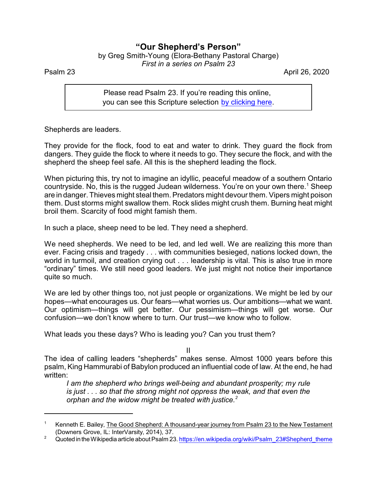## **"Our Shepherd's Person"**

by Greg Smith-Young (Elora-Bethany Pastoral Charge) *First in a series on Psalm 23*

Psalm 23 April 26, 2020

Please read Psalm 23. If you're reading this online, you can see this Scripture selection [by clicking here](https://www.biblegateway.com/passage/?search=Psalm+23&version=NRSVA).

Shepherds are leaders.

They provide for the flock, food to eat and water to drink. They guard the flock from dangers. They guide the flock to where it needs to go. They secure the flock, and with the shepherd the sheep feel safe. All this is the shepherd leading the flock.

When picturing this, try not to imagine an idyllic, peaceful meadow of a southern Ontario countryside. No, this is the rugged Judean wilderness. You're on your own there.<sup>1</sup> Sheep are in danger. Thieves might steal them. Predators might devour them. Vipers might poison them. Dust storms might swallow them. Rock slides might crush them. Burning heat might broil them. Scarcity of food might famish them.

In such a place, sheep need to be led. They need a shepherd.

We need shepherds. We need to be led, and led well. We are realizing this more than ever. Facing crisis and tragedy . . . with communities besieged, nations locked down, the world in turmoil, and creation crying out . . . leadership is vital. This is also true in more "ordinary" times. We still need good leaders. We just might not notice their importance quite so much.

We are led by other things too, not just people or organizations. We might be led by our hopes—what encourages us. Our fears—what worries us. Our ambitions—what we want. Our optimism—things will get better. Our pessimism—things will get worse. Our confusion—we don't know where to turn. Our trust—we know who to follow.

What leads you these days? Who is leading you? Can you trust them?

II

The idea of calling leaders "shepherds" makes sense. Almost 1000 years before this psalm, King Hammurabi of Babylon produced an influential code of law. At the end, he had written:

*I am the shepherd who brings well-being and abundant prosperity; my rule is just . . . so that the strong might not oppress the weak, and that even the orphan and the widow might be treated with justice.<sup>2</sup>*

<sup>&</sup>lt;sup>1</sup> Kenneth E. Bailey, The Good Shepherd: A thousand-year journey from Psalm 23 to the New Testament (Downers Grove, IL: InterVarsity, 2014), 37.

<sup>&</sup>lt;sup>2</sup> Quoted in the Wikipedia article about Psalm 23. [https://en.wikipedia.org/wiki/Psalm\\_23#Shepherd\\_theme](https://en.wikipedia.org/wiki/Psalm_23#Shepherd_theme)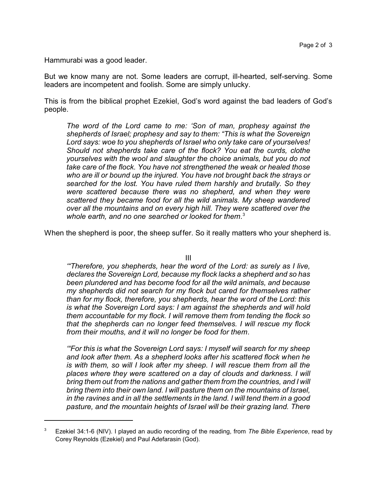Hammurabi was a good leader.

But we know many are not. Some leaders are corrupt, ill-hearted, self-serving. Some leaders are incompetent and foolish. Some are simply unlucky.

This is from the biblical prophet Ezekiel, God's word against the bad leaders of God's people.

*The word of the Lord came to me: 'Son of man, prophesy against the shepherds of Israel; prophesy and say to them: "This is what the Sovereign Lord says: woe to you shepherds of Israel who only take care of yourselves! Should not shepherds take care of the flock? You eat the curds, clothe yourselves with the wool and slaughter the choice animals, but you do not take care of the flock. You have not strengthened the weak or healed those who are ill or bound up the injured. You have not brought back the strays or searched for the lost. You have ruled them harshly and brutally. So they were scattered because there was no shepherd, and when they were scattered they became food for all the wild animals. My sheep wandered over all the mountains and on every high hill. They were scattered over the whole earth, and no one searched or looked for them.* 3

When the shepherd is poor, the sheep suffer. So it really matters who your shepherd is.

III

*'"Therefore, you shepherds, hear the word of the Lord: as surely as I live, declares the Sovereign Lord, because my flock lacks a shepherd and so has been plundered and has become food for all the wild animals, and because my shepherds did not search for my flock but cared for themselves rather than for my flock, therefore, you shepherds, hear the word of the Lord: this is what the Sovereign Lord says: I am against the shepherds and will hold them accountable for my flock. I will remove them from tending the flock so that the shepherds can no longer feed themselves. I will rescue my flock from their mouths, and it will no longer be food for them.*

*'"For this is what the Sovereign Lord says: I myself will search for my sheep and look after them. As a shepherd looks after his scattered flock when he is with them, so will I look after my sheep. I will rescue them from all the places where they were scattered on a day of clouds and darkness. I will bring them out from the nations and gather them from the countries, and I will bring them into their own land. I will pasture them on the mountains of Israel, in the ravines and in all the settlements in the land. I will tend them in a good pasture, and the mountain heights of Israel will be their grazing land. There*

<sup>3</sup> Ezekiel 34:1-6 (NIV). I played an audio recording of the reading, from *The Bible Experience*, read by Corey Reynolds (Ezekiel) and Paul Adefarasin (God).